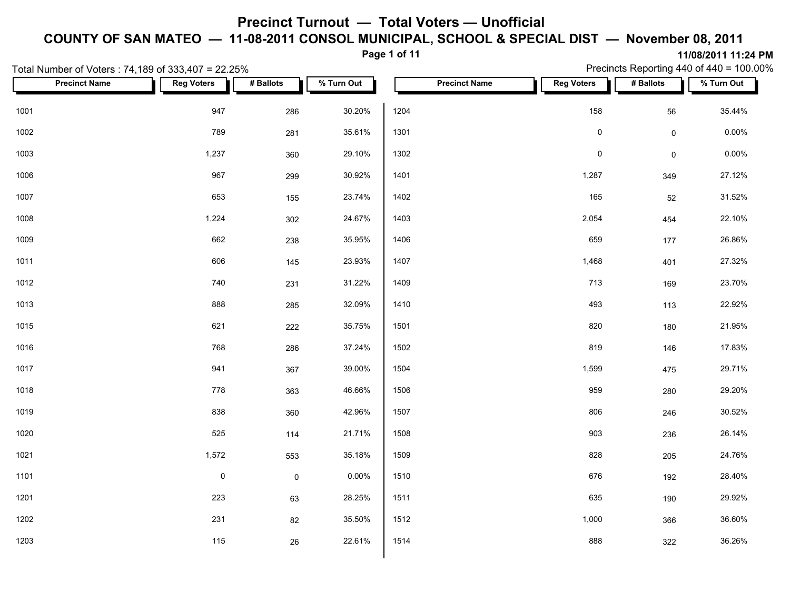**Page 1 of 11**

**11/08/2011 11:24 PM** Precincts Reporting 440 of 440 = 100.00%

|      | Total Number of Voters: 74,189 of 333,407 = 22.25% |                     |             |            |      |                      |                   |                     | Precincts Reporting 440 of 440 = 100.00% |
|------|----------------------------------------------------|---------------------|-------------|------------|------|----------------------|-------------------|---------------------|------------------------------------------|
|      | <b>Precinct Name</b>                               | <b>Reg Voters</b>   | # Ballots   | % Turn Out |      | <b>Precinct Name</b> | <b>Reg Voters</b> | # Ballots           | % Turn Out                               |
| 1001 |                                                    | 947                 | 286         | 30.20%     | 1204 |                      | 158               | 56                  | 35.44%                                   |
| 1002 |                                                    | 789                 | 281         | 35.61%     | 1301 |                      | $\pmb{0}$         | $\mathsf{O}\xspace$ | 0.00%                                    |
| 1003 |                                                    | 1,237               | 360         | 29.10%     | 1302 |                      | $\pmb{0}$         | $\mathsf{O}\xspace$ | 0.00%                                    |
| 1006 |                                                    | 967                 | 299         | 30.92%     | 1401 |                      | 1,287             | 349                 | 27.12%                                   |
| 1007 |                                                    | 653                 | 155         | 23.74%     | 1402 |                      | 165               | 52                  | 31.52%                                   |
| 1008 |                                                    | 1,224               | 302         | 24.67%     | 1403 |                      | 2,054             | 454                 | 22.10%                                   |
| 1009 |                                                    | 662                 | 238         | 35.95%     | 1406 |                      | 659               | 177                 | 26.86%                                   |
| 1011 |                                                    | 606                 | 145         | 23.93%     | 1407 |                      | 1,468             | 401                 | 27.32%                                   |
| 1012 |                                                    | 740                 | 231         | 31.22%     | 1409 |                      | 713               | 169                 | 23.70%                                   |
| 1013 |                                                    | 888                 | 285         | 32.09%     | 1410 |                      | 493               | 113                 | 22.92%                                   |
| 1015 |                                                    | 621                 | 222         | 35.75%     | 1501 |                      | 820               | 180                 | 21.95%                                   |
| 1016 |                                                    | 768                 | 286         | 37.24%     | 1502 |                      | 819               | 146                 | 17.83%                                   |
| 1017 |                                                    | 941                 | 367         | 39.00%     | 1504 |                      | 1,599             | 475                 | 29.71%                                   |
| 1018 |                                                    | 778                 | 363         | 46.66%     | 1506 |                      | 959               | 280                 | 29.20%                                   |
| 1019 |                                                    | 838                 | 360         | 42.96%     | 1507 |                      | 806               | 246                 | 30.52%                                   |
| 1020 |                                                    | 525                 | 114         | 21.71%     | 1508 |                      | 903               | 236                 | 26.14%                                   |
| 1021 |                                                    | 1,572               | 553         | 35.18%     | 1509 |                      | 828               | 205                 | 24.76%                                   |
| 1101 |                                                    | $\mathsf{O}\xspace$ | $\mathsf 0$ | 0.00%      | 1510 |                      | 676               | 192                 | 28.40%                                   |
| 1201 |                                                    | 223                 | 63          | 28.25%     | 1511 |                      | 635               | 190                 | 29.92%                                   |
| 1202 |                                                    | 231                 | 82          | 35.50%     | 1512 |                      | 1,000             | 366                 | 36.60%                                   |
| 1203 |                                                    | 115                 | 26          | 22.61%     | 1514 |                      | 888               | 322                 | 36.26%                                   |
|      |                                                    |                     |             |            |      |                      |                   |                     |                                          |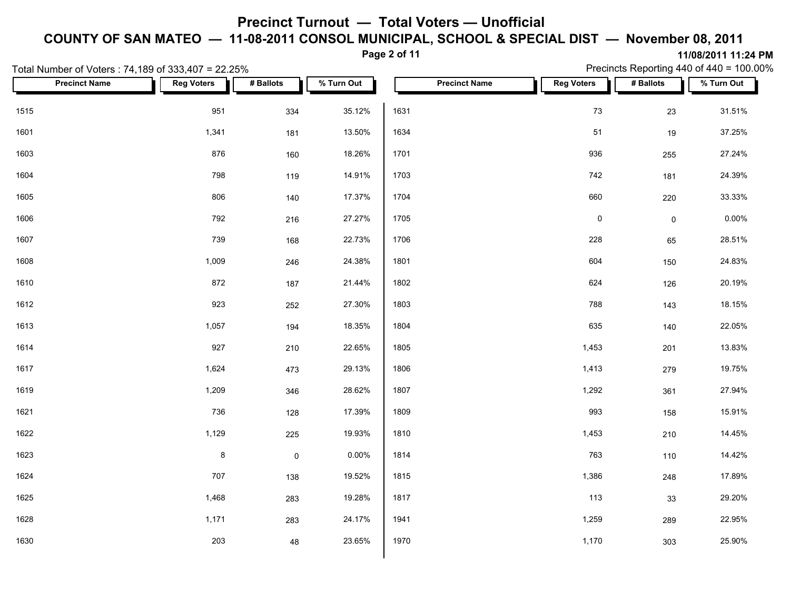#### **Page 2 of 11**

Precincts Reporting 440 of 440 = 100.00%

|      | Total Number of Voters: 74,189 of 333,407 = 22.25% |                   |             |            |      |                      |                   |                     | Precincts Reporting 440 of 440 = 100.00% |
|------|----------------------------------------------------|-------------------|-------------|------------|------|----------------------|-------------------|---------------------|------------------------------------------|
|      | <b>Precinct Name</b>                               | <b>Reg Voters</b> | # Ballots   | % Turn Out |      | <b>Precinct Name</b> | <b>Reg Voters</b> | # Ballots           | % Turn Out                               |
| 1515 |                                                    | 951               | 334         | 35.12%     | 1631 |                      | 73                | 23                  | 31.51%                                   |
| 1601 |                                                    | 1,341             | 181         | 13.50%     | 1634 |                      | 51                | $19$                | 37.25%                                   |
| 1603 |                                                    | 876               | 160         | 18.26%     | 1701 |                      | 936               | 255                 | 27.24%                                   |
| 1604 |                                                    | 798               | 119         | 14.91%     | 1703 |                      | 742               | 181                 | 24.39%                                   |
| 1605 |                                                    | 806               | 140         | 17.37%     | 1704 |                      | 660               | 220                 | 33.33%                                   |
| 1606 |                                                    | 792               | 216         | 27.27%     | 1705 |                      | $\pmb{0}$         | $\mathsf{O}\xspace$ | 0.00%                                    |
| 1607 |                                                    | 739               | 168         | 22.73%     | 1706 |                      | 228               | 65                  | 28.51%                                   |
| 1608 |                                                    | 1,009             | 246         | 24.38%     | 1801 |                      | 604               | 150                 | 24.83%                                   |
| 1610 |                                                    | 872               | 187         | 21.44%     | 1802 |                      | 624               | 126                 | 20.19%                                   |
| 1612 |                                                    | 923               | 252         | 27.30%     | 1803 |                      | 788               | 143                 | 18.15%                                   |
| 1613 |                                                    | 1,057             | 194         | 18.35%     | 1804 |                      | 635               | 140                 | 22.05%                                   |
| 1614 |                                                    | 927               | 210         | 22.65%     | 1805 |                      | 1,453             | 201                 | 13.83%                                   |
| 1617 |                                                    | 1,624             | 473         | 29.13%     | 1806 |                      | 1,413             | 279                 | 19.75%                                   |
| 1619 |                                                    | 1,209             | 346         | 28.62%     | 1807 |                      | 1,292             | 361                 | 27.94%                                   |
| 1621 |                                                    | 736               | 128         | 17.39%     | 1809 |                      | 993               | 158                 | 15.91%                                   |
| 1622 |                                                    | 1,129             | 225         | 19.93%     | 1810 |                      | 1,453             | 210                 | 14.45%                                   |
| 1623 |                                                    | $\bf 8$           | $\mathsf 0$ | 0.00%      | 1814 |                      | 763               | 110                 | 14.42%                                   |
| 1624 |                                                    | 707               | 138         | 19.52%     | 1815 |                      | 1,386             | 248                 | 17.89%                                   |
| 1625 |                                                    | 1,468             | 283         | 19.28%     | 1817 |                      | 113               | 33                  | 29.20%                                   |
| 1628 |                                                    | 1,171             | 283         | 24.17%     | 1941 |                      | 1,259             | 289                 | 22.95%                                   |
| 1630 |                                                    | 203               | 48          | 23.65%     | 1970 |                      | 1,170             | 303                 | 25.90%                                   |
|      |                                                    |                   |             |            |      |                      |                   |                     |                                          |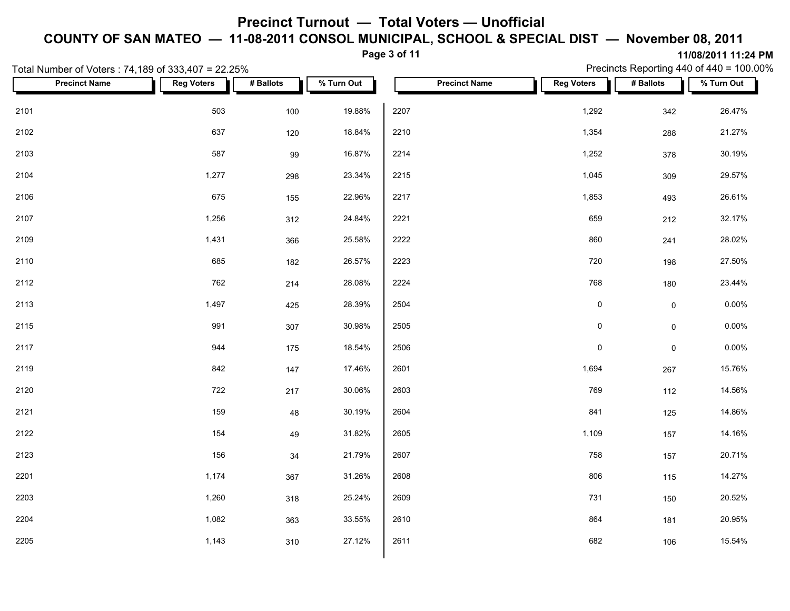**Page 3 of 11**

Precincts Reporting 440 of 440 = 100.00%

|      | Total Number of Voters: 74,189 of 333,407 = 22.25% |                   |           |            |      |                      |                   |                     | Precincts Reporting 440 of 440 = 100.00% |
|------|----------------------------------------------------|-------------------|-----------|------------|------|----------------------|-------------------|---------------------|------------------------------------------|
|      | <b>Precinct Name</b>                               | <b>Reg Voters</b> | # Ballots | % Turn Out |      | <b>Precinct Name</b> | <b>Reg Voters</b> | # Ballots           | % Turn Out                               |
| 2101 |                                                    | 503               | 100       | 19.88%     | 2207 |                      | 1,292             | 342                 | 26.47%                                   |
| 2102 |                                                    | 637               | 120       | 18.84%     | 2210 |                      | 1,354             | 288                 | 21.27%                                   |
| 2103 |                                                    | 587               | 99        | 16.87%     | 2214 |                      | 1,252             | 378                 | 30.19%                                   |
| 2104 |                                                    | 1,277             | 298       | 23.34%     | 2215 |                      | 1,045             | 309                 | 29.57%                                   |
| 2106 |                                                    | 675               | 155       | 22.96%     | 2217 |                      | 1,853             | 493                 | 26.61%                                   |
| 2107 |                                                    | 1,256             | 312       | 24.84%     | 2221 |                      | 659               | 212                 | 32.17%                                   |
| 2109 |                                                    | 1,431             | 366       | 25.58%     | 2222 |                      | 860               | 241                 | 28.02%                                   |
| 2110 |                                                    | 685               | 182       | 26.57%     | 2223 |                      | 720               | 198                 | 27.50%                                   |
| 2112 |                                                    | 762               | 214       | 28.08%     | 2224 |                      | 768               | 180                 | 23.44%                                   |
| 2113 |                                                    | 1,497             | 425       | 28.39%     | 2504 |                      | $\pmb{0}$         | $\mathsf{O}\xspace$ | $0.00\%$                                 |
| 2115 |                                                    | 991               | 307       | 30.98%     | 2505 |                      | $\pmb{0}$         | $\mathsf{O}\xspace$ | $0.00\%$                                 |
| 2117 |                                                    | 944               | 175       | 18.54%     | 2506 |                      | $\pmb{0}$         | $\mathsf{O}\xspace$ | 0.00%                                    |
| 2119 |                                                    | 842               | 147       | 17.46%     | 2601 |                      | 1,694             | 267                 | 15.76%                                   |
| 2120 |                                                    | 722               | 217       | 30.06%     | 2603 |                      | 769               | 112                 | 14.56%                                   |
| 2121 |                                                    | 159               | 48        | 30.19%     | 2604 |                      | 841               | 125                 | 14.86%                                   |
| 2122 |                                                    | 154               | 49        | 31.82%     | 2605 |                      | 1,109             | 157                 | 14.16%                                   |
| 2123 |                                                    | 156               | 34        | 21.79%     | 2607 |                      | 758               | 157                 | 20.71%                                   |
| 2201 |                                                    | 1,174             | 367       | 31.26%     | 2608 |                      | 806               | 115                 | 14.27%                                   |
| 2203 |                                                    | 1,260             | 318       | 25.24%     | 2609 |                      | 731               | 150                 | 20.52%                                   |
| 2204 |                                                    | 1,082             | 363       | 33.55%     | 2610 |                      | 864               | 181                 | 20.95%                                   |
| 2205 |                                                    | 1,143             | 310       | 27.12%     | 2611 |                      | 682               | 106                 | 15.54%                                   |
|      |                                                    |                   |           |            |      |                      |                   |                     |                                          |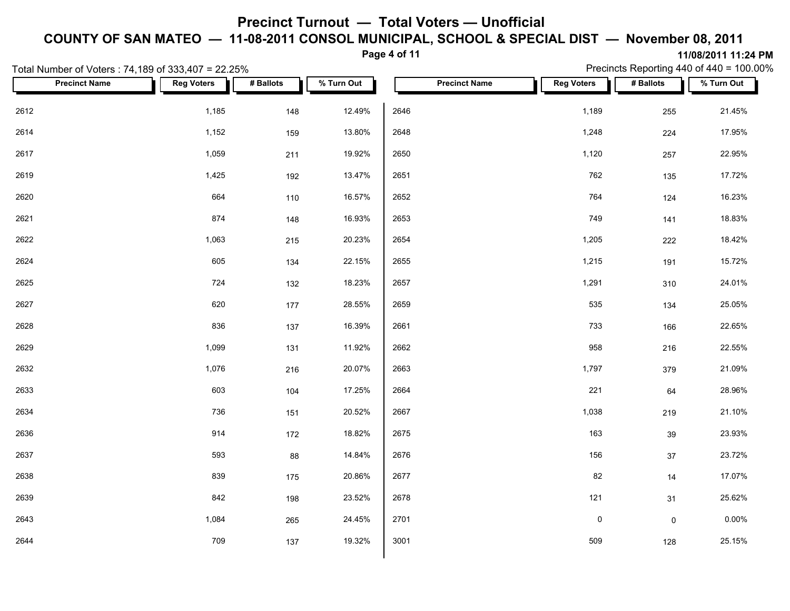### **Page 4 of 11**

Precincts Reporting 440 of 440 = 100.00%

|      | Total Number of Voters: 74,189 of 333,407 = 22.25% |                   |           |            |      |                      |                   |                     | Precincts Reporting 440 of 440 = 100.00% |
|------|----------------------------------------------------|-------------------|-----------|------------|------|----------------------|-------------------|---------------------|------------------------------------------|
|      | <b>Precinct Name</b>                               | <b>Reg Voters</b> | # Ballots | % Turn Out |      | <b>Precinct Name</b> | <b>Reg Voters</b> | # Ballots           | % Turn Out                               |
| 2612 |                                                    | 1,185             | 148       | 12.49%     | 2646 |                      | 1,189             | 255                 | 21.45%                                   |
| 2614 |                                                    | 1,152             | 159       | 13.80%     | 2648 |                      | 1,248             | 224                 | 17.95%                                   |
| 2617 |                                                    | 1,059             | 211       | 19.92%     | 2650 |                      | 1,120             | 257                 | 22.95%                                   |
| 2619 |                                                    | 1,425             | 192       | 13.47%     | 2651 |                      | 762               | 135                 | 17.72%                                   |
| 2620 |                                                    | 664               | 110       | 16.57%     | 2652 |                      | 764               | 124                 | 16.23%                                   |
| 2621 |                                                    | 874               | 148       | 16.93%     | 2653 |                      | 749               | 141                 | 18.83%                                   |
| 2622 |                                                    | 1,063             | 215       | 20.23%     | 2654 |                      | 1,205             | 222                 | 18.42%                                   |
| 2624 |                                                    | 605               | 134       | 22.15%     | 2655 |                      | 1,215             | 191                 | 15.72%                                   |
| 2625 |                                                    | 724               | 132       | 18.23%     | 2657 |                      | 1,291             | 310                 | 24.01%                                   |
| 2627 |                                                    | 620               | 177       | 28.55%     | 2659 |                      | 535               | 134                 | 25.05%                                   |
| 2628 |                                                    | 836               | 137       | 16.39%     | 2661 |                      | 733               | 166                 | 22.65%                                   |
| 2629 |                                                    | 1,099             | 131       | 11.92%     | 2662 |                      | 958               | 216                 | 22.55%                                   |
| 2632 |                                                    | 1,076             | 216       | 20.07%     | 2663 |                      | 1,797             | 379                 | 21.09%                                   |
| 2633 |                                                    | 603               | 104       | 17.25%     | 2664 |                      | 221               | 64                  | 28.96%                                   |
| 2634 |                                                    | 736               | 151       | 20.52%     | 2667 |                      | 1,038             | 219                 | 21.10%                                   |
| 2636 |                                                    | 914               | 172       | 18.82%     | 2675 |                      | 163               | 39                  | 23.93%                                   |
| 2637 |                                                    | 593               | 88        | 14.84%     | 2676 |                      | 156               | $37\,$              | 23.72%                                   |
| 2638 |                                                    | 839               | 175       | 20.86%     | 2677 |                      | 82                | 14                  | 17.07%                                   |
| 2639 |                                                    | 842               | 198       | 23.52%     | 2678 |                      | $121$             | 31                  | 25.62%                                   |
| 2643 |                                                    | 1,084             | 265       | 24.45%     | 2701 |                      | $\pmb{0}$         | $\mathsf{O}\xspace$ | $0.00\%$                                 |
| 2644 |                                                    | 709               | 137       | 19.32%     | 3001 |                      | 509               | 128                 | 25.15%                                   |
|      |                                                    |                   |           |            |      |                      |                   |                     |                                          |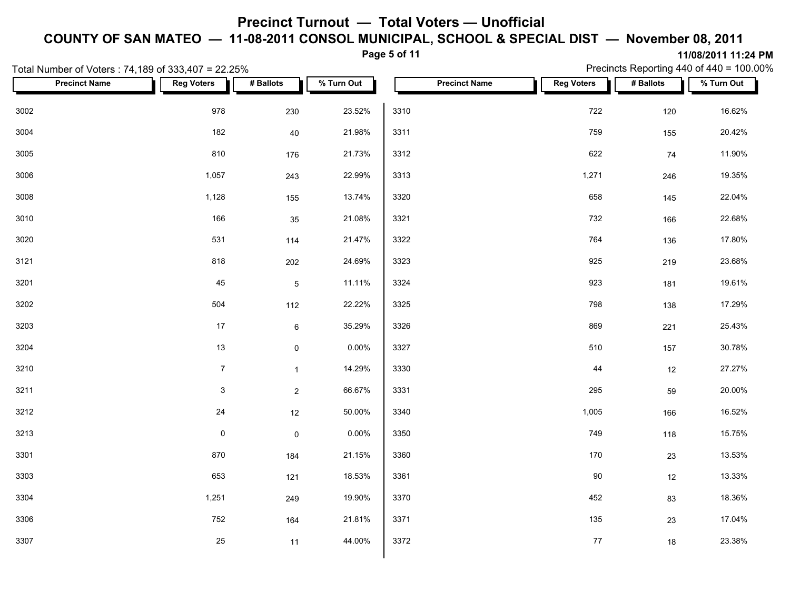**Page 5 of 11**

| Total Number of Voters: 74,189 of 333,407 = 22.25% |                   |                |            |      |                      |                   | Precincts Reporting 440 of 440 = 100.00% |            |  |
|----------------------------------------------------|-------------------|----------------|------------|------|----------------------|-------------------|------------------------------------------|------------|--|
| <b>Precinct Name</b>                               | <b>Reg Voters</b> | # Ballots      | % Turn Out |      | <b>Precinct Name</b> | <b>Reg Voters</b> | # Ballots                                | % Turn Out |  |
| 3002                                               | 978               | 230            | 23.52%     | 3310 |                      | 722               | 120                                      | 16.62%     |  |
| 3004                                               | 182               | 40             | 21.98%     | 3311 |                      | 759               | 155                                      | 20.42%     |  |
| 3005                                               | 810               | 176            | 21.73%     | 3312 |                      | 622               | 74                                       | 11.90%     |  |
| 3006                                               | 1,057             | 243            | 22.99%     | 3313 |                      | 1,271             | 246                                      | 19.35%     |  |
| 3008                                               | 1,128             | 155            | 13.74%     | 3320 |                      | 658               | 145                                      | 22.04%     |  |
| 3010                                               | 166               | 35             | 21.08%     | 3321 |                      | 732               | 166                                      | 22.68%     |  |
| 3020                                               | 531               | 114            | 21.47%     | 3322 |                      | 764               | 136                                      | 17.80%     |  |
| 3121                                               | 818               | 202            | 24.69%     | 3323 |                      | 925               | 219                                      | 23.68%     |  |
| 3201                                               | 45                | $\mathbf 5$    | 11.11%     | 3324 |                      | 923               | 181                                      | 19.61%     |  |
| 3202                                               | 504               | 112            | 22.22%     | 3325 |                      | 798               | 138                                      | 17.29%     |  |
| 3203                                               | $17$              | $\,6\,$        | 35.29%     | 3326 |                      | 869               | 221                                      | 25.43%     |  |
| 3204                                               | 13                | $\mathsf 0$    | 0.00%      | 3327 |                      | 510               | 157                                      | 30.78%     |  |
| 3210                                               | $\overline{7}$    | $\mathbf{1}$   | 14.29%     | 3330 |                      | 44                | 12                                       | 27.27%     |  |
| 3211                                               | $\mathbf{3}$      | $\overline{2}$ | 66.67%     | 3331 |                      | 295               | 59                                       | 20.00%     |  |
| 3212                                               | 24                | 12             | 50.00%     | 3340 |                      | 1,005             | 166                                      | 16.52%     |  |
| 3213                                               | $\pmb{0}$         | $\mathbf 0$    | 0.00%      | 3350 |                      | 749               | 118                                      | 15.75%     |  |
| 3301                                               | 870               | 184            | 21.15%     | 3360 |                      | 170               | 23                                       | 13.53%     |  |
| 3303                                               | 653               | 121            | 18.53%     | 3361 |                      | 90                | 12                                       | 13.33%     |  |
| 3304                                               | 1,251             | 249            | 19.90%     | 3370 |                      | 452               | 83                                       | 18.36%     |  |
| 3306                                               | 752               | 164            | 21.81%     | 3371 |                      | 135               | 23                                       | 17.04%     |  |
| 3307                                               | 25                | 11             | 44.00%     | 3372 |                      | 77                | 18                                       | 23.38%     |  |
|                                                    |                   |                |            |      |                      |                   |                                          |            |  |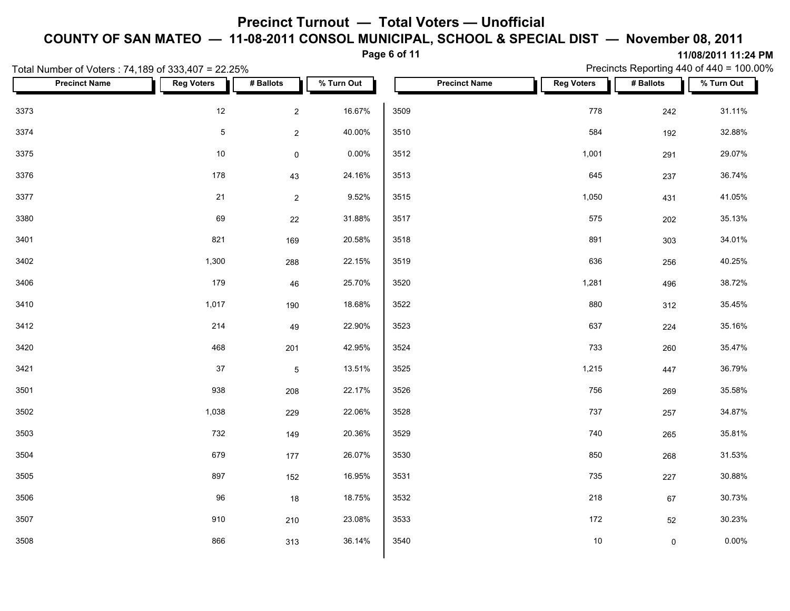### **Page 6 of 11**

Precincts Reporting 440 of 440 = 100.00%

|      | Total Number of Voters: 74,189 of 333,407 = 22.25% |                   |                     |            |      |                      |                   |             | Precincts Reporting 440 of 440 = 100.00% |
|------|----------------------------------------------------|-------------------|---------------------|------------|------|----------------------|-------------------|-------------|------------------------------------------|
|      | <b>Precinct Name</b>                               | <b>Reg Voters</b> | # Ballots           | % Turn Out |      | <b>Precinct Name</b> | <b>Reg Voters</b> | # Ballots   | % Turn Out                               |
| 3373 |                                                    | 12                | $\overline{2}$      | 16.67%     | 3509 |                      | 778               | 242         | 31.11%                                   |
| 3374 |                                                    | $\sqrt{5}$        | $\mathbf 2$         | 40.00%     | 3510 |                      | 584               | 192         | 32.88%                                   |
| 3375 |                                                    | 10                | $\mathsf{O}\xspace$ | 0.00%      | 3512 |                      | 1,001             | 291         | 29.07%                                   |
| 3376 |                                                    | 178               | 43                  | 24.16%     | 3513 |                      | 645               | 237         | 36.74%                                   |
| 3377 |                                                    | 21                | $\overline{2}$      | 9.52%      | 3515 |                      | 1,050             | 431         | 41.05%                                   |
| 3380 |                                                    | 69                | 22                  | 31.88%     | 3517 |                      | 575               | 202         | 35.13%                                   |
| 3401 |                                                    | 821               | 169                 | 20.58%     | 3518 |                      | 891               | 303         | 34.01%                                   |
| 3402 |                                                    | 1,300             | 288                 | 22.15%     | 3519 |                      | 636               | 256         | 40.25%                                   |
| 3406 |                                                    | 179               | 46                  | 25.70%     | 3520 |                      | 1,281             | 496         | 38.72%                                   |
| 3410 |                                                    | 1,017             | 190                 | 18.68%     | 3522 |                      | 880               | 312         | 35.45%                                   |
| 3412 |                                                    | 214               | 49                  | 22.90%     | 3523 |                      | 637               | 224         | 35.16%                                   |
| 3420 |                                                    | 468               | 201                 | 42.95%     | 3524 |                      | 733               | 260         | 35.47%                                   |
| 3421 |                                                    | $37\,$            | $5\phantom{.0}$     | 13.51%     | 3525 |                      | 1,215             | 447         | 36.79%                                   |
| 3501 |                                                    | 938               | 208                 | 22.17%     | 3526 |                      | 756               | 269         | 35.58%                                   |
| 3502 |                                                    | 1,038             | 229                 | 22.06%     | 3528 |                      | 737               | 257         | 34.87%                                   |
| 3503 |                                                    | 732               | 149                 | 20.36%     | 3529 |                      | 740               | 265         | 35.81%                                   |
| 3504 |                                                    | 679               | 177                 | 26.07%     | 3530 |                      | 850               | 268         | 31.53%                                   |
| 3505 |                                                    | 897               | 152                 | 16.95%     | 3531 |                      | 735               | 227         | 30.88%                                   |
| 3506 |                                                    | 96                | $18$                | 18.75%     | 3532 |                      | 218               | 67          | 30.73%                                   |
| 3507 |                                                    | 910               | 210                 | 23.08%     | 3533 |                      | 172               | 52          | 30.23%                                   |
| 3508 |                                                    | 866               | 313                 | 36.14%     | 3540 |                      | 10                | $\mathbf 0$ | 0.00%                                    |
|      |                                                    |                   |                     |            |      |                      |                   |             |                                          |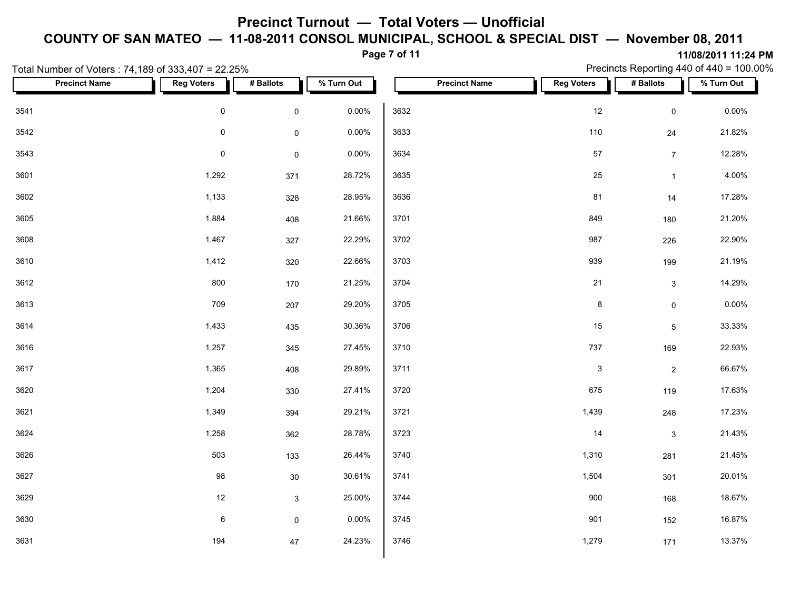#### **Page 7 of 11**

**11/08/2011 11:24 PM** Precincts Reporting 440 of 440 = 100.00%

|      |                      | Total Number of Voters: 74,189 of 333,407 = 22.25% |                     |            |      |                      |                           |                     | Precincts Reporting 440 of 440 = 100.00% |
|------|----------------------|----------------------------------------------------|---------------------|------------|------|----------------------|---------------------------|---------------------|------------------------------------------|
|      | <b>Precinct Name</b> | <b>Reg Voters</b>                                  | # Ballots           | % Turn Out |      | <b>Precinct Name</b> | <b>Reg Voters</b>         | # Ballots           | % Turn Out                               |
| 3541 |                      | $\mathbf 0$                                        | $\mathsf{O}\xspace$ | 0.00%      | 3632 |                      | 12                        | $\mathsf{O}\xspace$ | $0.00\%$                                 |
| 3542 |                      | $\mathsf{O}\xspace$                                | $\mathsf{O}\xspace$ | 0.00%      | 3633 |                      | 110                       | 24                  | 21.82%                                   |
| 3543 |                      | $\mathsf{O}\xspace$                                | $\mathsf{O}\xspace$ | 0.00%      | 3634 |                      | $57\,$                    | 7 <sup>7</sup>      | 12.28%                                   |
| 3601 |                      | 1,292                                              | 371                 | 28.72%     | 3635 |                      | 25                        | $\mathbf{1}$        | 4.00%                                    |
| 3602 |                      | 1,133                                              | 328                 | 28.95%     | 3636 |                      | 81                        | 14                  | 17.28%                                   |
| 3605 |                      | 1,884                                              | 408                 | 21.66%     | 3701 |                      | 849                       | 180                 | 21.20%                                   |
| 3608 |                      | 1,467                                              | 327                 | 22.29%     | 3702 |                      | 987                       | 226                 | 22.90%                                   |
| 3610 |                      | 1,412                                              | 320                 | 22.66%     | 3703 |                      | 939                       | 199                 | 21.19%                                   |
| 3612 |                      | 800                                                | 170                 | 21.25%     | 3704 |                      | 21                        | $\mathbf{3}$        | 14.29%                                   |
| 3613 |                      | 709                                                | 207                 | 29.20%     | 3705 |                      | $\bf 8$                   | $\mathsf{O}\xspace$ | $0.00\%$                                 |
| 3614 |                      | 1,433                                              | 435                 | 30.36%     | 3706 |                      | 15                        | $5\phantom{.0}$     | 33.33%                                   |
| 3616 |                      | 1,257                                              | 345                 | 27.45%     | 3710 |                      | 737                       | 169                 | 22.93%                                   |
| 3617 |                      | 1,365                                              | 408                 | 29.89%     | 3711 |                      | $\ensuremath{\mathsf{3}}$ | $\overline{2}$      | 66.67%                                   |
| 3620 |                      | 1,204                                              | 330                 | 27.41%     | 3720 |                      | 675                       | 119                 | 17.63%                                   |
| 3621 |                      | 1,349                                              | 394                 | 29.21%     | 3721 |                      | 1,439                     | 248                 | 17.23%                                   |
| 3624 |                      | 1,258                                              | 362                 | 28.78%     | 3723 |                      | 14                        | $\mathbf{3}$        | 21.43%                                   |
| 3626 |                      | 503                                                | 133                 | 26.44%     | 3740 |                      | 1,310                     | 281                 | 21.45%                                   |
| 3627 |                      | 98                                                 | $30\,$              | 30.61%     | 3741 |                      | 1,504                     | 301                 | 20.01%                                   |
| 3629 |                      | $12$                                               | $\mathbf{3}$        | 25.00%     | 3744 |                      | 900                       | 168                 | 18.67%                                   |
| 3630 |                      | $\,6\,$                                            | $\mathsf{O}\xspace$ | 0.00%      | 3745 |                      | 901                       | 152                 | 16.87%                                   |
| 3631 |                      | 194                                                | 47                  | 24.23%     | 3746 |                      | 1,279                     | 171                 | 13.37%                                   |
|      |                      |                                                    |                     |            |      |                      |                           |                     |                                          |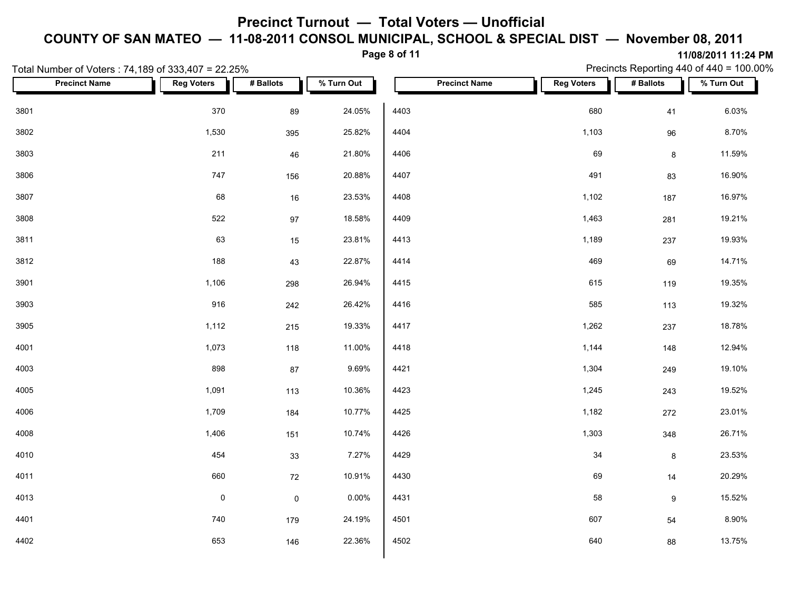### **Page 8 of 11**

Precincts Reporting 440 of 440 = 100.00%

|      | Total Number of Voters: 74,189 of 333,407 = 22.25% |                   |                     |            |      |                      |                   |                  | Precincts Reporting 440 of 440 = 100.00% |
|------|----------------------------------------------------|-------------------|---------------------|------------|------|----------------------|-------------------|------------------|------------------------------------------|
|      | <b>Precinct Name</b>                               | <b>Reg Voters</b> | # Ballots           | % Turn Out |      | <b>Precinct Name</b> | <b>Reg Voters</b> | # Ballots        | % Turn Out                               |
| 3801 |                                                    | 370               | 89                  | 24.05%     | 4403 |                      | 680               | 41               | 6.03%                                    |
| 3802 |                                                    | 1,530             | 395                 | 25.82%     | 4404 |                      | 1,103             | 96               | 8.70%                                    |
| 3803 |                                                    | 211               | 46                  | 21.80%     | 4406 |                      | 69                | 8                | 11.59%                                   |
| 3806 |                                                    | 747               | 156                 | 20.88%     | 4407 |                      | 491               | 83               | 16.90%                                   |
| 3807 |                                                    | 68                | 16                  | 23.53%     | 4408 |                      | 1,102             | 187              | 16.97%                                   |
| 3808 |                                                    | 522               | 97                  | 18.58%     | 4409 |                      | 1,463             | 281              | 19.21%                                   |
| 3811 |                                                    | 63                | 15                  | 23.81%     | 4413 |                      | 1,189             | 237              | 19.93%                                   |
| 3812 |                                                    | 188               | 43                  | 22.87%     | 4414 |                      | 469               | 69               | 14.71%                                   |
| 3901 |                                                    | 1,106             | 298                 | 26.94%     | 4415 |                      | 615               | 119              | 19.35%                                   |
| 3903 |                                                    | 916               | 242                 | 26.42%     | 4416 |                      | 585               | 113              | 19.32%                                   |
| 3905 |                                                    | 1,112             | 215                 | 19.33%     | 4417 |                      | 1,262             | 237              | 18.78%                                   |
| 4001 |                                                    | 1,073             | 118                 | 11.00%     | 4418 |                      | 1,144             | 148              | 12.94%                                   |
| 4003 |                                                    | 898               | $87\,$              | 9.69%      | 4421 |                      | 1,304             | 249              | 19.10%                                   |
| 4005 |                                                    | 1,091             | 113                 | 10.36%     | 4423 |                      | 1,245             | 243              | 19.52%                                   |
| 4006 |                                                    | 1,709             | 184                 | 10.77%     | 4425 |                      | 1,182             | 272              | 23.01%                                   |
| 4008 |                                                    | 1,406             | 151                 | 10.74%     | 4426 |                      | 1,303             | 348              | 26.71%                                   |
| 4010 |                                                    | 454               | 33                  | 7.27%      | 4429 |                      | 34                | $\bf{8}$         | 23.53%                                   |
| 4011 |                                                    | 660               | 72                  | 10.91%     | 4430 |                      | 69                | 14               | 20.29%                                   |
| 4013 |                                                    | $\pmb{0}$         | $\mathsf{O}\xspace$ | 0.00%      | 4431 |                      | 58                | $\boldsymbol{9}$ | 15.52%                                   |
| 4401 |                                                    | 740               | 179                 | 24.19%     | 4501 |                      | 607               | 54               | 8.90%                                    |
| 4402 |                                                    | 653               | 146                 | 22.36%     | 4502 |                      | 640               | 88               | 13.75%                                   |
|      |                                                    |                   |                     |            |      |                      |                   |                  |                                          |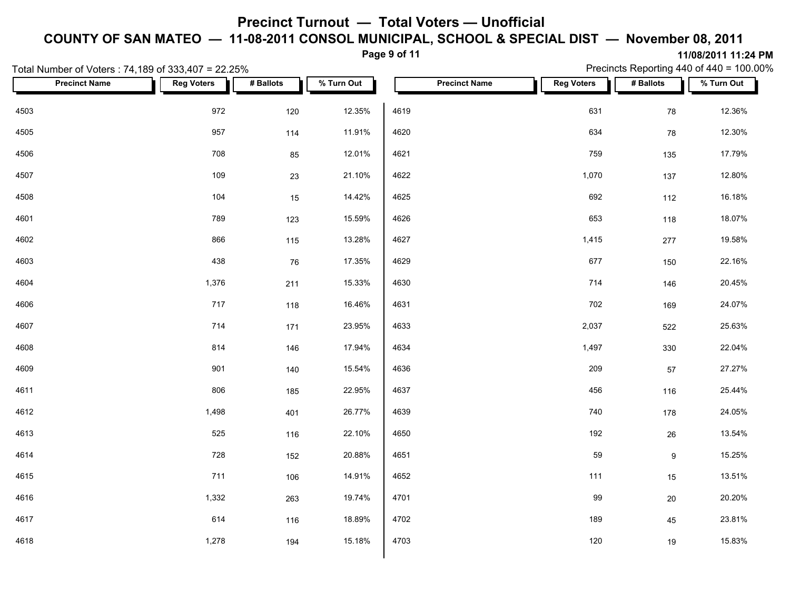**Page 9 of 11**

| Total Number of Voters: 74,189 of 333,407 = 22.25% |                   |           |            |      |                      |                   | Precincts Reporting 440 of 440 = 100.00% |            |  |
|----------------------------------------------------|-------------------|-----------|------------|------|----------------------|-------------------|------------------------------------------|------------|--|
| <b>Precinct Name</b>                               | <b>Reg Voters</b> | # Ballots | % Turn Out |      | <b>Precinct Name</b> | <b>Reg Voters</b> | # Ballots                                | % Turn Out |  |
| 4503                                               | 972               | 120       | 12.35%     | 4619 |                      | 631               | 78                                       | 12.36%     |  |
| 4505                                               | 957               | 114       | 11.91%     | 4620 |                      | 634               | 78                                       | 12.30%     |  |
| 4506                                               | 708               | 85        | 12.01%     | 4621 |                      | 759               | 135                                      | 17.79%     |  |
| 4507                                               | 109               | 23        | 21.10%     | 4622 |                      | 1,070             | 137                                      | 12.80%     |  |
| 4508                                               | 104               | 15        | 14.42%     | 4625 |                      | 692               | 112                                      | 16.18%     |  |
| 4601                                               | 789               | 123       | 15.59%     | 4626 |                      | 653               | 118                                      | 18.07%     |  |
| 4602                                               | 866               | 115       | 13.28%     | 4627 |                      | 1,415             | 277                                      | 19.58%     |  |
| 4603                                               | 438               | 76        | 17.35%     | 4629 |                      | 677               | 150                                      | 22.16%     |  |
| 4604                                               | 1,376             | 211       | 15.33%     | 4630 |                      | 714               | 146                                      | 20.45%     |  |
| 4606                                               | 717               | 118       | 16.46%     | 4631 |                      | 702               | 169                                      | 24.07%     |  |
| 4607                                               | 714               | 171       | 23.95%     | 4633 |                      | 2,037             | 522                                      | 25.63%     |  |
| 4608                                               | 814               | 146       | 17.94%     | 4634 |                      | 1,497             | 330                                      | 22.04%     |  |
| 4609                                               | 901               | 140       | 15.54%     | 4636 |                      | 209               | 57                                       | 27.27%     |  |
| 4611                                               | 806               | 185       | 22.95%     | 4637 |                      | 456               | 116                                      | 25.44%     |  |
| 4612                                               | 1,498             | 401       | 26.77%     | 4639 |                      | 740               | 178                                      | 24.05%     |  |
| 4613                                               | 525               | 116       | 22.10%     | 4650 |                      | 192               | 26                                       | 13.54%     |  |
| 4614                                               | 728               | 152       | 20.88%     | 4651 |                      | 59                | $\boldsymbol{9}$                         | 15.25%     |  |
| 4615                                               | 711               | 106       | 14.91%     | 4652 |                      | 111               | 15                                       | 13.51%     |  |
| 4616                                               | 1,332             | 263       | 19.74%     | 4701 |                      | 99                | $20\,$                                   | 20.20%     |  |
| 4617                                               | 614               | 116       | 18.89%     | 4702 |                      | 189               | 45                                       | 23.81%     |  |
| 4618                                               | 1,278             | 194       | 15.18%     | 4703 |                      | 120               | $19$                                     | 15.83%     |  |
|                                                    |                   |           |            |      |                      |                   |                                          |            |  |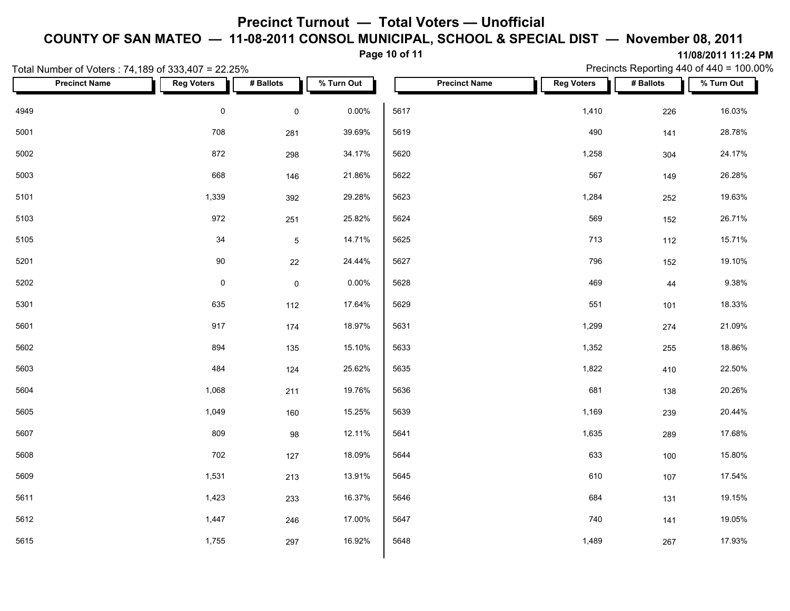**Page 10 of 11**

**11/08/2011 11:24 PM** Precincts Reporting 440 of 440 = 100.00%

|      | Total Number of Voters: 74,189 of 333,407 = 22.25% |                     |                     |            |      |                      |                   |           | Precincts Reporting 440 of 440 = 100.00% |
|------|----------------------------------------------------|---------------------|---------------------|------------|------|----------------------|-------------------|-----------|------------------------------------------|
|      | <b>Precinct Name</b>                               | <b>Reg Voters</b>   | # Ballots           | % Turn Out |      | <b>Precinct Name</b> | <b>Reg Voters</b> | # Ballots | % Turn Out                               |
| 4949 |                                                    | $\pmb{0}$           | $\mathsf{O}\xspace$ | 0.00%      | 5617 |                      | 1,410             | 226       | 16.03%                                   |
| 5001 |                                                    | 708                 | 281                 | 39.69%     | 5619 |                      | 490               | 141       | 28.78%                                   |
| 5002 |                                                    | 872                 | 298                 | 34.17%     | 5620 |                      | 1,258             | 304       | 24.17%                                   |
| 5003 |                                                    | 668                 | 146                 | 21.86%     | 5622 |                      | 567               | 149       | 26.28%                                   |
| 5101 |                                                    | 1,339               | 392                 | 29.28%     | 5623 |                      | 1,284             | 252       | 19.63%                                   |
| 5103 |                                                    | 972                 | 251                 | 25.82%     | 5624 |                      | 569               | 152       | 26.71%                                   |
| 5105 |                                                    | 34                  | $\,$ 5 $\,$         | 14.71%     | 5625 |                      | 713               | 112       | 15.71%                                   |
| 5201 |                                                    | 90                  | 22                  | 24.44%     | 5627 |                      | 796               | 152       | 19.10%                                   |
| 5202 |                                                    | $\mathsf{O}\xspace$ | $\mathsf 0$         | 0.00%      | 5628 |                      | 469               | 44        | 9.38%                                    |
| 5301 |                                                    | 635                 | 112                 | 17.64%     | 5629 |                      | 551               | 101       | 18.33%                                   |
| 5601 |                                                    | 917                 | 174                 | 18.97%     | 5631 |                      | 1,299             | 274       | 21.09%                                   |
| 5602 |                                                    | 894                 | 135                 | 15.10%     | 5633 |                      | 1,352             | 255       | 18.86%                                   |
| 5603 |                                                    | 484                 | 124                 | 25.62%     | 5635 |                      | 1,822             | 410       | 22.50%                                   |
| 5604 |                                                    | 1,068               | 211                 | 19.76%     | 5636 |                      | 681               | 138       | 20.26%                                   |
| 5605 |                                                    | 1,049               | 160                 | 15.25%     | 5639 |                      | 1,169             | 239       | 20.44%                                   |
| 5607 |                                                    | 809                 | 98                  | 12.11%     | 5641 |                      | 1,635             | 289       | 17.68%                                   |
| 5608 |                                                    | 702                 | 127                 | 18.09%     | 5644 |                      | 633               | 100       | 15.80%                                   |
| 5609 |                                                    | 1,531               | 213                 | 13.91%     | 5645 |                      | 610               | 107       | 17.54%                                   |
| 5611 |                                                    | 1,423               | 233                 | 16.37%     | 5646 |                      | 684               | 131       | 19.15%                                   |
| 5612 |                                                    | 1,447               | 246                 | 17.00%     | 5647 |                      | 740               | 141       | 19.05%                                   |
| 5615 |                                                    | 1,755               | 297                 | 16.92%     | 5648 |                      | 1,489             | 267       | 17.93%                                   |
|      |                                                    |                     |                     |            |      |                      |                   |           |                                          |